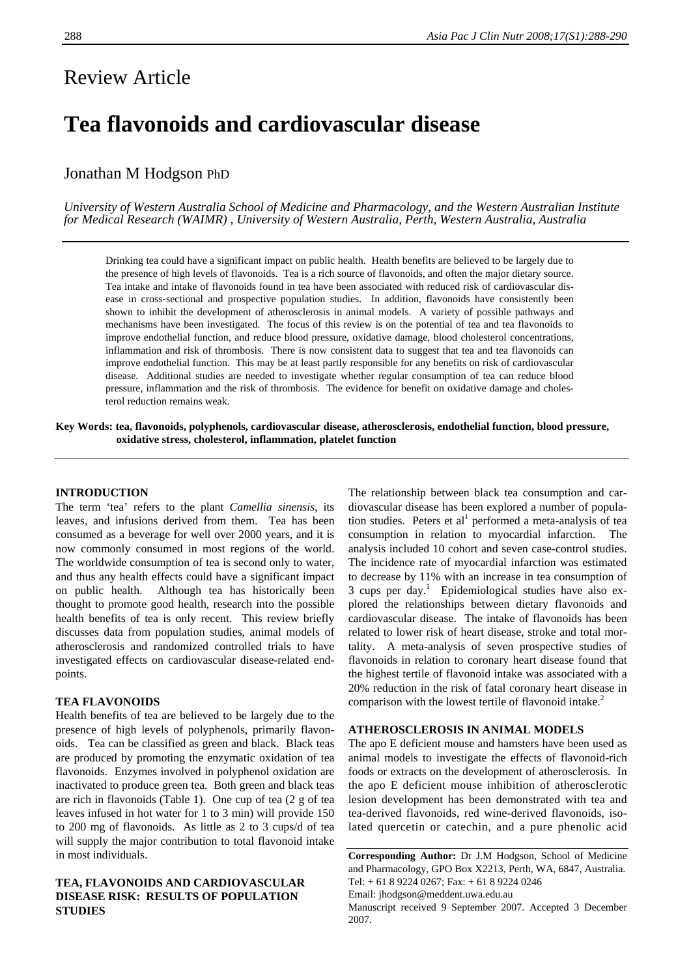# Review Article

## **Tea flavonoids and cardiovascular disease**

## Jonathan M Hodgson PhD

*University of Western Australia School of Medicine and Pharmacology, and the Western Australian Institute for Medical Research (WAIMR) , University of Western Australia, Perth, Western Australia, Australia* 

Drinking tea could have a significant impact on public health. Health benefits are believed to be largely due to the presence of high levels of flavonoids. Tea is a rich source of flavonoids, and often the major dietary source. Tea intake and intake of flavonoids found in tea have been associated with reduced risk of cardiovascular disease in cross-sectional and prospective population studies. In addition, flavonoids have consistently been shown to inhibit the development of atherosclerosis in animal models. A variety of possible pathways and mechanisms have been investigated. The focus of this review is on the potential of tea and tea flavonoids to improve endothelial function, and reduce blood pressure, oxidative damage, blood cholesterol concentrations, inflammation and risk of thrombosis. There is now consistent data to suggest that tea and tea flavonoids can improve endothelial function. This may be at least partly responsible for any benefits on risk of cardiovascular disease. Additional studies are needed to investigate whether regular consumption of tea can reduce blood pressure, inflammation and the risk of thrombosis. The evidence for benefit on oxidative damage and cholesterol reduction remains weak.

**Key Words: tea, flavonoids, polyphenols, cardiovascular disease, atherosclerosis, endothelial function, blood pressure, oxidative stress, cholesterol, inflammation, platelet function** 

## **INTRODUCTION**

The term 'tea' refers to the plant *Camellia sinensis*, its leaves, and infusions derived from them. Tea has been consumed as a beverage for well over 2000 years, and it is now commonly consumed in most regions of the world. The worldwide consumption of tea is second only to water, and thus any health effects could have a significant impact on public health. Although tea has historically been thought to promote good health, research into the possible health benefits of tea is only recent. This review briefly discusses data from population studies, animal models of atherosclerosis and randomized controlled trials to have investigated effects on cardiovascular disease-related endpoints.

### **TEA FLAVONOIDS**

Health benefits of tea are believed to be largely due to the presence of high levels of polyphenols, primarily flavonoids. Tea can be classified as green and black. Black teas are produced by promoting the enzymatic oxidation of tea flavonoids. Enzymes involved in polyphenol oxidation are inactivated to produce green tea. Both green and black teas are rich in flavonoids (Table 1). One cup of tea (2 g of tea leaves infused in hot water for 1 to 3 min) will provide 150 to 200 mg of flavonoids. As little as 2 to 3 cups/d of tea will supply the major contribution to total flavonoid intake in most individuals.

## **TEA, FLAVONOIDS AND CARDIOVASCULAR DISEASE RISK: RESULTS OF POPULATION STUDIES**

The relationship between black tea consumption and cardiovascular disease has been explored a number of population studies. Peters et al<sup>1</sup> performed a meta-analysis of tea consumption in relation to myocardial infarction. The analysis included 10 cohort and seven case-control studies. The incidence rate of myocardial infarction was estimated to decrease by 11% with an increase in tea consumption of 3 cups per day.<sup>1</sup> Epidemiological studies have also explored the relationships between dietary flavonoids and cardiovascular disease. The intake of flavonoids has been related to lower risk of heart disease, stroke and total mortality. A meta-analysis of seven prospective studies of flavonoids in relation to coronary heart disease found that the highest tertile of flavonoid intake was associated with a 20% reduction in the risk of fatal coronary heart disease in comparison with the lowest tertile of flavonoid intake.<sup>2</sup>

#### **ATHEROSCLEROSIS IN ANIMAL MODELS**

The apo E deficient mouse and hamsters have been used as animal models to investigate the effects of flavonoid-rich foods or extracts on the development of atherosclerosis. In the apo E deficient mouse inhibition of atherosclerotic lesion development has been demonstrated with tea and tea-derived flavonoids, red wine-derived flavonoids, isolated quercetin or catechin, and a pure phenolic acid

**Corresponding Author:** Dr J.M Hodgson, School of Medicine and Pharmacology, GPO Box X2213, Perth, WA, 6847, Australia. Tel: + 61 8 9224 0267; Fax: + 61 8 9224 0246 Email: jhodgson@meddent.uwa.edu.au

Manuscript received 9 September 2007. Accepted 3 December 2007.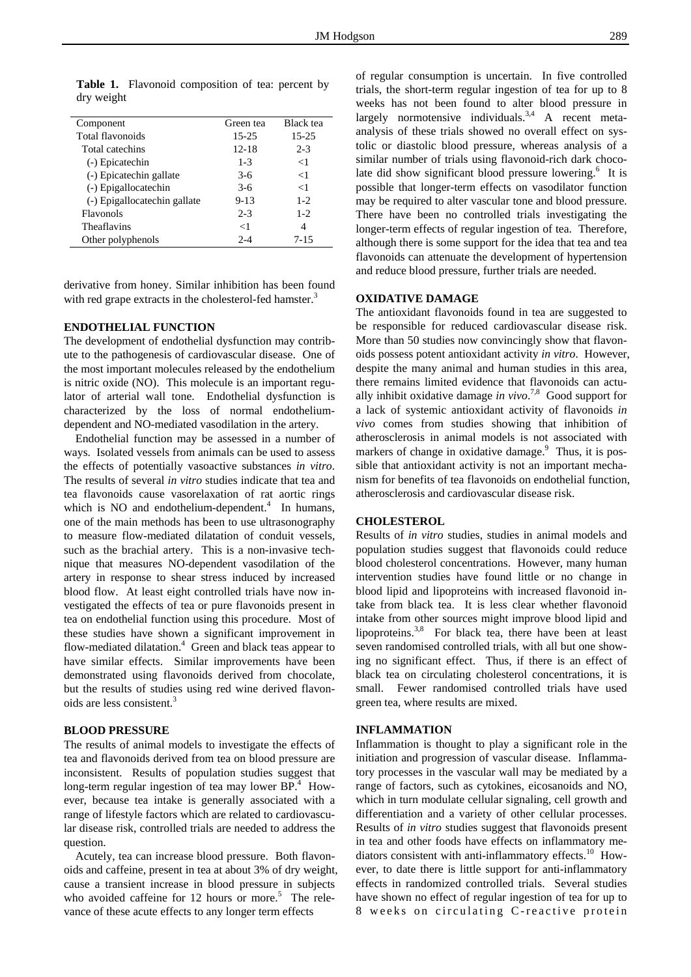| Component                    | Green tea | <b>Black</b> tea |
|------------------------------|-----------|------------------|
| Total flavonoids             | 15-25     | 15-25            |
| Total catechins              | $12 - 18$ | $2 - 3$          |
| (-) Epicatechin              | $1 - 3$   | $<$ 1            |
| (-) Epicatechin gallate      | $3-6$     | $<$ 1            |
| (-) Epigallocatechin         | $3-6$     | $<$ 1            |
| (-) Epigallocatechin gallate | $9 - 13$  | $1 - 2$          |
| Flavonols                    | $2 - 3$   | $1-2$            |
| Theaflavins                  | $<$ 1     | 4                |
| Other polyphenols            | $2 - 4$   | $7 - 15$         |

Table 1. Flavonoid composition of tea: percent by dry weight

derivative from honey. Similar inhibition has been found with red grape extracts in the cholesterol-fed hamster.<sup>3</sup>

## **ENDOTHELIAL FUNCTION**

The development of endothelial dysfunction may contribute to the pathogenesis of cardiovascular disease. One of the most important molecules released by the endothelium is nitric oxide (NO). This molecule is an important regulator of arterial wall tone. Endothelial dysfunction is characterized by the loss of normal endotheliumdependent and NO-mediated vasodilation in the artery.

 Endothelial function may be assessed in a number of ways. Isolated vessels from animals can be used to assess the effects of potentially vasoactive substances *in vitro*. The results of several *in vitro* studies indicate that tea and tea flavonoids cause vasorelaxation of rat aortic rings which is NO and endothelium-dependent. $4$  In humans, one of the main methods has been to use ultrasonography to measure flow-mediated dilatation of conduit vessels, such as the brachial artery. This is a non-invasive technique that measures NO-dependent vasodilation of the artery in response to shear stress induced by increased blood flow. At least eight controlled trials have now investigated the effects of tea or pure flavonoids present in tea on endothelial function using this procedure. Most of these studies have shown a significant improvement in flow-mediated dilatation.<sup>4</sup> Green and black teas appear to have similar effects. Similar improvements have been demonstrated using flavonoids derived from chocolate, but the results of studies using red wine derived flavonoids are less consistent.3

#### **BLOOD PRESSURE**

The results of animal models to investigate the effects of tea and flavonoids derived from tea on blood pressure are inconsistent. Results of population studies suggest that long-term regular ingestion of tea may lower BP.<sup>4</sup> However, because tea intake is generally associated with a range of lifestyle factors which are related to cardiovascular disease risk, controlled trials are needed to address the question.

 Acutely, tea can increase blood pressure. Both flavonoids and caffeine, present in tea at about 3% of dry weight, cause a transient increase in blood pressure in subjects who avoided caffeine for 12 hours or more.<sup>5</sup> The relevance of these acute effects to any longer term effects

of regular consumption is uncertain. In five controlled trials, the short-term regular ingestion of tea for up to 8 weeks has not been found to alter blood pressure in largely normotensive individuals.<sup>3,4</sup> A recent metaanalysis of these trials showed no overall effect on systolic or diastolic blood pressure, whereas analysis of a similar number of trials using flavonoid-rich dark chocolate did show significant blood pressure lowering.<sup>6</sup> It is possible that longer-term effects on vasodilator function may be required to alter vascular tone and blood pressure. There have been no controlled trials investigating the longer-term effects of regular ingestion of tea. Therefore, although there is some support for the idea that tea and tea flavonoids can attenuate the development of hypertension and reduce blood pressure, further trials are needed.

#### **OXIDATIVE DAMAGE**

The antioxidant flavonoids found in tea are suggested to be responsible for reduced cardiovascular disease risk. More than 50 studies now convincingly show that flavonoids possess potent antioxidant activity *in vitro*. However, despite the many animal and human studies in this area, there remains limited evidence that flavonoids can actually inhibit oxidative damage *in vivo*. 7,8 Good support for a lack of systemic antioxidant activity of flavonoids *in vivo* comes from studies showing that inhibition of atherosclerosis in animal models is not associated with markers of change in oxidative damage.<sup>9</sup> Thus, it is possible that antioxidant activity is not an important mechanism for benefits of tea flavonoids on endothelial function, atherosclerosis and cardiovascular disease risk.

#### **CHOLESTEROL**

Results of *in vitro* studies, studies in animal models and population studies suggest that flavonoids could reduce blood cholesterol concentrations. However, many human intervention studies have found little or no change in blood lipid and lipoproteins with increased flavonoid intake from black tea. It is less clear whether flavonoid intake from other sources might improve blood lipid and lipoproteins.<sup>3,8</sup> For black tea, there have been at least seven randomised controlled trials, with all but one showing no significant effect. Thus, if there is an effect of black tea on circulating cholesterol concentrations, it is small. Fewer randomised controlled trials have used green tea, where results are mixed.

#### **INFLAMMATION**

Inflammation is thought to play a significant role in the initiation and progression of vascular disease. Inflammatory processes in the vascular wall may be mediated by a range of factors, such as cytokines, eicosanoids and NO, which in turn modulate cellular signaling, cell growth and differentiation and a variety of other cellular processes. Results of *in vitro* studies suggest that flavonoids present in tea and other foods have effects on inflammatory mediators consistent with anti-inflammatory effects.<sup>10</sup> However, to date there is little support for anti-inflammatory effects in randomized controlled trials. Several studies have shown no effect of regular ingestion of tea for up to 8 weeks on circulating C-reactive protein